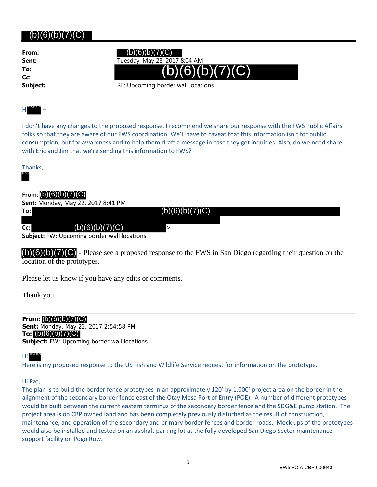## (b)(6)(b)(7)(C)

**From: To: Cc:**

# $(b)(6)(b)(7)(C)$

**Sent:** Tuesday, May 23, 2017 8:04 AM



**Subject:** RE: Upcoming border wall locations

#### Hi – (b)(6)(b)(7)(C)

I don't have any changes to the proposed response. I recommend we share our response with the FWS Public Affairs folks so that they are aware of our FWS coordination. We'll have to caveat that this information isn't for public consumption, but for awareness and to help them draft a message in case they get inquiries. Also, do we need share with Eric and Jim that we're sending this information to FWS?



## **From:** (b)(6)(b)(7)(C)

| <b>Sent: Monday, May 22, 2017 8:41 PM</b>          |                 |  |
|----------------------------------------------------|-----------------|--|
| To:L                                               | (b)(6)(b)(7)(C) |  |
|                                                    |                 |  |
| (b)(6)(b)(7)(C)<br>$Cc$ :                          |                 |  |
| <b>Subject:</b> FW: Upcoming border wall locations |                 |  |

 $(b)(6)(b)(7)(C)$  - Please see a proposed response to the FWS in San Diego regarding their question on the location of the prototypes.

Please let us know if you have any edits or comments.

Thank you

**From:** (b)(6)(b)(7)(C) **Sent:** Monday, May 22, 2017 2:54:58 PM **To:** (b)(6)(b)(7)(C) **Subject:** FW: Upcoming border wall locations

#### Hi , (b)(6)(b)(7)

Here is my proposed response to the US Fish and Wildlife Service request for information on the prototype.

### Hi Pat,

The plan is to build the border fence prototypes in an approximately 120' by 1,000' project area on the border in the alignment of the secondary border fence east of the Otay Mesa Port of Entry (POE). A number of different prototypes would be built between the current eastern terminus of the secondary border fence and the SDG&E pump station. The project area is on CBP owned land and has been completely previously disturbed as the result of construction, maintenance, and operation of the secondary and primary border fences and border roads. Mock ups of the prototypes would also be installed and tested on an asphalt parking lot at the fully developed San Diego Sector maintenance support facility on Pogo Row.